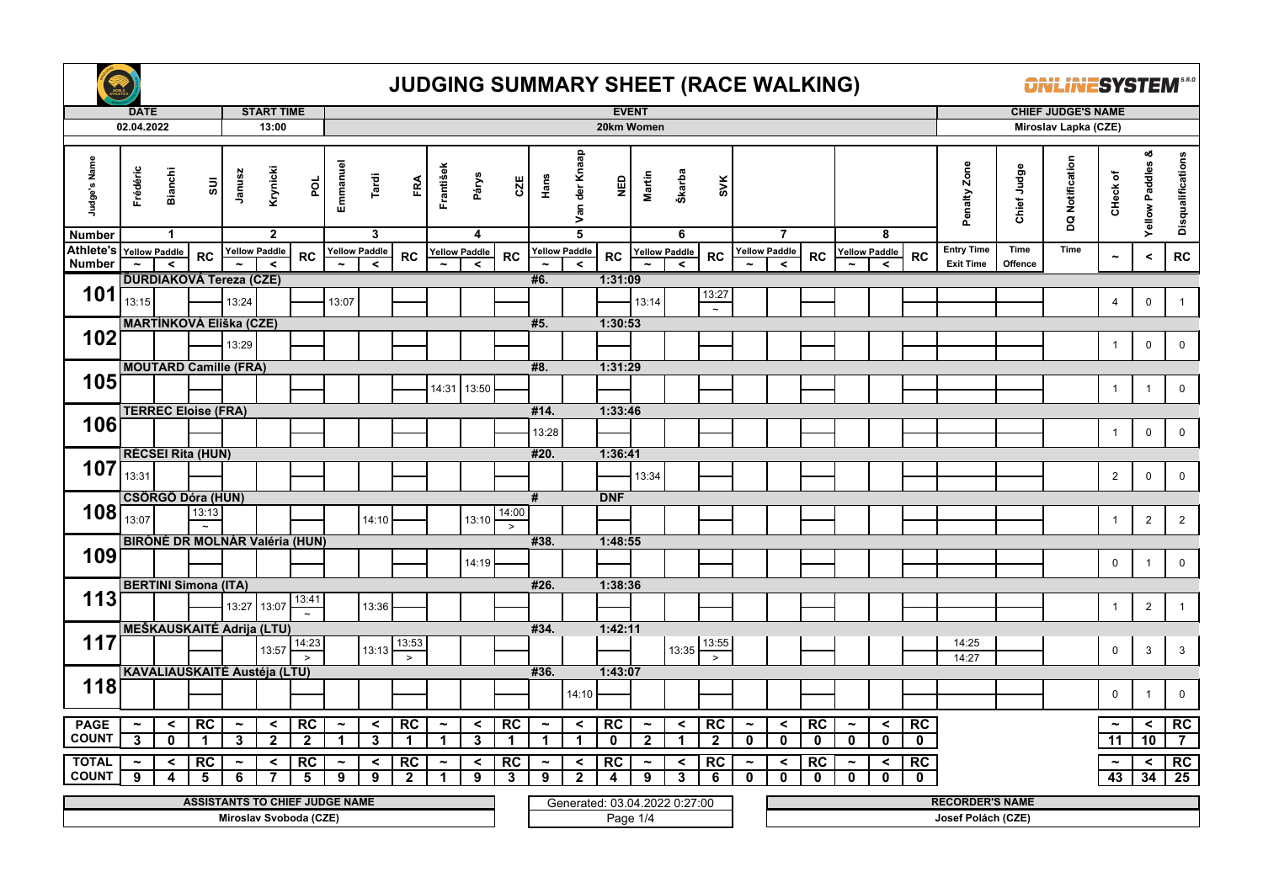

**ONLINESYSTEM** 

|                            | <b>DATE</b>           |                |                                       |                       | <b>START TIME</b>       |                         |                       |                          |              |                       |                               |                |                       |                                 |               | <b>EVENT</b>          |                                                  |                                |                       |                                 |              |                       |                                 |             |                                       |                 | <b>CHIEF JUDGE'S NAME</b> |                       |                            |                   |
|----------------------------|-----------------------|----------------|---------------------------------------|-----------------------|-------------------------|-------------------------|-----------------------|--------------------------|--------------|-----------------------|-------------------------------|----------------|-----------------------|---------------------------------|---------------|-----------------------|--------------------------------------------------|--------------------------------|-----------------------|---------------------------------|--------------|-----------------------|---------------------------------|-------------|---------------------------------------|-----------------|---------------------------|-----------------------|----------------------------|-------------------|
|                            | 02.04.2022            |                |                                       |                       | 13:00                   |                         |                       |                          |              |                       |                               |                |                       |                                 | 20km Women    |                       |                                                  |                                |                       |                                 |              |                       |                                 |             |                                       |                 | Miroslav Lapka (CZE)      |                       |                            |                   |
| Judge's Name               | Frédéric              | <b>Bianchi</b> | $\Xi$                                 | Janusz                | Krynicki                | por                     | Emmanuel              | Tardi                    | FRA          | František             | Párys                         | CZE            | Hans                  | Van der Knaap                   | $\frac{6}{2}$ | Martin                | Škarba                                           | <b>SVK</b>                     |                       |                                 |              |                       |                                 |             | Penalty Zone                          | Chief Judge     | DQ Notification           | CHeck of              | ೲ<br><b>Yellow Paddles</b> | Disqualifications |
| <b>Number</b>              |                       | $\mathbf{1}$   |                                       |                       | $\overline{2}$          |                         |                       | 3                        |              |                       | 4                             |                |                       | $\overline{5}$                  |               |                       | 6                                                |                                |                       | $\overline{7}$                  |              |                       | 8                               |             |                                       |                 |                           |                       |                            |                   |
| Athlete's<br><b>Number</b> | <b>Yellow Paddle</b>  | $\prec$        | <b>RC</b>                             | <b>Yellow Paddle</b>  | $\hat{}$                | <b>RC</b>               |                       | Yellow Paddle<br>$\prec$ | RC           |                       | <b>Yellow Paddle</b><br>$\,<$ | RC             |                       | <b>Yellow Paddle</b><br>$\prec$ | <b>RC</b>     |                       | <b>Yellow Paddle</b><br>$\overline{\phantom{a}}$ | RC                             |                       | <b>Yellow Paddle</b><br>$\prec$ | <b>RC</b>    |                       | <b>Yellow Paddle</b><br>$\prec$ | <b>RC</b>   | <b>Entry Time</b><br><b>Exit Time</b> | Time<br>Offence | Time                      | $\tilde{}$            | $\,<$                      | ${\sf RC}$        |
|                            |                       |                | <b>DURDIAKOVÁ Tereza (CZE)</b>        |                       |                         |                         |                       |                          |              |                       |                               |                | #6.                   |                                 | 1:31:09       |                       |                                                  |                                |                       |                                 |              |                       |                                 |             |                                       |                 |                           |                       |                            |                   |
| 101                        | 13:15                 |                |                                       | 13:24                 |                         |                         | 13:07                 |                          |              |                       |                               |                |                       |                                 |               | 13:14                 |                                                  | 13:27<br>$\tilde{\phantom{a}}$ |                       |                                 |              |                       |                                 |             |                                       |                 |                           | $\overline{4}$        | $\mathsf 0$                | $\mathbf{1}$      |
|                            |                       |                | <b>MARTÍNKOVÁ Eliška (CZE)</b>        |                       |                         |                         |                       |                          |              |                       |                               |                | #5.                   |                                 | 1:30:53       |                       |                                                  |                                |                       |                                 |              |                       |                                 |             |                                       |                 |                           |                       |                            |                   |
| 102                        |                       |                |                                       | 13:29                 |                         |                         |                       |                          |              |                       |                               |                |                       |                                 |               |                       |                                                  |                                |                       |                                 |              |                       |                                 |             |                                       |                 |                           | $\overline{1}$        | $\mathsf 0$                | $\mathbf 0$       |
|                            |                       |                |                                       |                       |                         |                         |                       |                          |              |                       |                               |                |                       |                                 |               |                       |                                                  |                                |                       |                                 |              |                       |                                 |             |                                       |                 |                           |                       |                            |                   |
| 105                        |                       |                | <b>MOUTARD Camille (FRA)</b>          |                       |                         |                         |                       |                          |              |                       |                               |                | #8.                   |                                 | 1:31:29       |                       |                                                  |                                |                       |                                 |              |                       |                                 |             |                                       |                 |                           |                       |                            |                   |
|                            |                       |                |                                       |                       |                         |                         |                       |                          |              |                       | 14:31 13:50                   |                |                       |                                 |               |                       |                                                  |                                |                       |                                 |              |                       |                                 |             |                                       |                 |                           | $\mathbf{1}$          | $\overline{1}$             | $\mathbf 0$       |
|                            |                       |                | <b>TERREC Eloise (FRA)</b>            |                       |                         |                         |                       |                          |              |                       |                               |                | #14.                  |                                 | 1:33:46       |                       |                                                  |                                |                       |                                 |              |                       |                                 |             |                                       |                 |                           |                       |                            |                   |
| 106                        |                       |                |                                       |                       |                         |                         |                       |                          |              |                       |                               |                | 13:28                 |                                 |               |                       |                                                  |                                |                       |                                 |              |                       |                                 |             |                                       |                 |                           | $\mathbf{1}$          | $\pmb{0}$                  | $\mathbf 0$       |
|                            |                       |                | <b>RÉCSEI Rita (HUN)</b>              |                       |                         |                         |                       |                          |              |                       |                               |                | #20.                  |                                 | 1:36:41       |                       |                                                  |                                |                       |                                 |              |                       |                                 |             |                                       |                 |                           |                       |                            |                   |
| 107                        | 13:31                 |                |                                       |                       |                         |                         |                       |                          |              |                       |                               |                |                       |                                 |               | 13:34                 |                                                  |                                |                       |                                 |              |                       |                                 |             |                                       |                 |                           | $\overline{2}$        | $\pmb{0}$                  | $\mathbf 0$       |
|                            |                       |                | <b>CSÖRGÖ Dóra (HUN)</b>              |                       |                         |                         |                       |                          |              |                       |                               |                | #                     |                                 | <b>DNF</b>    |                       |                                                  |                                |                       |                                 |              |                       |                                 |             |                                       |                 |                           |                       |                            |                   |
| <b>108</b>                 | 13:07                 |                | 13:13                                 |                       |                         |                         |                       | 14:10                    |              |                       | 13:10                         | 14:00<br>$\,>$ |                       |                                 |               |                       |                                                  |                                |                       |                                 |              |                       |                                 |             |                                       |                 |                           | $\overline{1}$        | 2                          | $\overline{2}$    |
|                            |                       |                | <b>BIRÓNÉ DR MOLNÁR Valéria (HUN)</b> |                       |                         |                         |                       |                          |              |                       |                               |                | #38.                  |                                 | 1:48:55       |                       |                                                  |                                |                       |                                 |              |                       |                                 |             |                                       |                 |                           |                       |                            |                   |
| 109                        |                       |                |                                       |                       |                         |                         |                       |                          |              |                       |                               |                |                       |                                 |               |                       |                                                  |                                |                       |                                 |              |                       |                                 |             |                                       |                 |                           |                       |                            |                   |
|                            |                       |                |                                       |                       |                         |                         |                       |                          |              |                       | 14:19                         |                |                       |                                 |               |                       |                                                  |                                |                       |                                 |              |                       |                                 |             |                                       |                 |                           | $\mathbf 0$           | $\overline{1}$             | $\mathbf 0$       |
|                            |                       |                | <b>BERTINI Simona (ITA)</b>           |                       |                         |                         |                       |                          |              |                       |                               |                | #26.                  |                                 | 1:38:36       |                       |                                                  |                                |                       |                                 |              |                       |                                 |             |                                       |                 |                           |                       |                            |                   |
| 113                        |                       |                |                                       |                       | 13:27 13:07             | 13:41                   |                       | 13:36                    |              |                       |                               |                |                       |                                 |               |                       |                                                  |                                |                       |                                 |              |                       |                                 |             |                                       |                 |                           | $\overline{1}$        | $\overline{2}$             | $\overline{1}$    |
|                            |                       |                | MEŠKAUSKAITÉ Adrija (LTU)             |                       |                         | $\sim$                  |                       |                          |              |                       |                               |                | #34.                  |                                 | 1:42:11       |                       |                                                  |                                |                       |                                 |              |                       |                                 |             |                                       |                 |                           |                       |                            |                   |
| 117                        |                       |                |                                       |                       |                         | 14:23                   |                       |                          | 13:53        |                       |                               |                |                       |                                 |               |                       |                                                  | 13:55                          |                       |                                 |              |                       |                                 |             | 14:25                                 |                 |                           |                       |                            |                   |
|                            |                       |                |                                       |                       | 13:57                   |                         |                       | 13:13                    | $\geq$       |                       |                               |                |                       |                                 |               |                       | 13:35                                            | $\geq$                         |                       |                                 |              |                       |                                 |             | 14:27                                 |                 |                           | $\mathsf{O}$          | $\mathbf{3}$               | 3                 |
|                            |                       |                | KAVALIAUSKAITÉ Austéja (LTU)          |                       |                         |                         |                       |                          |              |                       |                               |                | #36.                  |                                 | 1:43:07       |                       |                                                  |                                |                       |                                 |              |                       |                                 |             |                                       |                 |                           |                       |                            |                   |
| 118                        |                       |                |                                       |                       |                         |                         |                       |                          |              |                       |                               |                |                       | 14:10                           |               |                       |                                                  |                                |                       |                                 |              |                       |                                 |             |                                       |                 |                           | $\mathbf 0$           | $\overline{1}$             | $\mathbf 0$       |
| <b>PAGE</b>                | $\tilde{\phantom{a}}$ | $\prec$        | RC                                    | $\tilde{\phantom{a}}$ | $\prec$                 | RC                      | $\tilde{\phantom{a}}$ | $\prec$                  | <b>RC</b>    | $\tilde{\phantom{a}}$ | $\prec$                       | RC             | $\tilde{\phantom{a}}$ | $\prec$                         | RC            | $\tilde{\phantom{a}}$ | $\prec$                                          | RC                             | $\tilde{\phantom{a}}$ | $\,<$                           | RC           | $\tilde{\phantom{a}}$ | $\prec$                         | RC          |                                       |                 |                           | $\tilde{\phantom{a}}$ | $\prec$                    | RC                |
| <b>COUNT</b>               | 3                     | $\mathbf{0}$   | $\mathbf 1$                           | 3                     | $\overline{\mathbf{2}}$ | $\overline{\mathbf{2}}$ | -1                    | 3                        | -1           | $\mathbf{1}$          | 3                             | 1              | $\mathbf 1$           | $\mathbf{1}$                    | $\mathbf 0$   | $\overline{2}$        | 1                                                | $\mathbf{2}$                   | $\mathbf 0$           | $\mathbf 0$                     | $\mathbf 0$  | $\mathbf 0$           | $\mathbf 0$                     | $\mathbf 0$ |                                       |                 |                           | $\overline{11}$       | 10                         | $\overline{7}$    |
| <b>TOTAL</b>               | $\tilde{\phantom{a}}$ | $\prec$        | <b>RC</b>                             | $\tilde{\phantom{a}}$ | $\prec$                 | RC                      | $\tilde{\phantom{a}}$ | $\prec$                  | <b>RC</b>    | $\tilde{\phantom{a}}$ | $\prec$                       | RC             | $\tilde{\phantom{a}}$ | $\prec$                         | RC            | $\tilde{\phantom{a}}$ | ≺                                                | <b>RC</b>                      | $\tilde{\phantom{a}}$ | $\prec$                         | RC           | $\tilde{\phantom{a}}$ | $\prec$                         | RC          |                                       |                 |                           | $\tilde{\phantom{a}}$ | $\prec$                    | RC                |
| <b>COUNT</b>               | 9                     | 4              | 5                                     | 6                     |                         | 5                       | 9                     | 9                        | $\mathbf{2}$ | 1                     | 9                             | 3              | 9                     | $\overline{2}$                  | 4             | 9                     | 3                                                | 6                              | $\mathbf 0$           | $\mathbf 0$                     | $\mathbf{0}$ | $\mathbf 0$           | $\mathbf{0}$                    | $\mathbf 0$ |                                       |                 |                           | 43                    | 34                         | 25                |
|                            |                       |                |                                       |                       |                         |                         |                       |                          |              |                       |                               |                |                       |                                 |               |                       |                                                  |                                |                       |                                 |              |                       |                                 |             |                                       |                 |                           |                       |                            |                   |
|                            |                       |                | <b>ASSISTANTS TO CHIEF JUDGE NAME</b> |                       |                         |                         |                       |                          |              |                       |                               |                |                       |                                 |               |                       | Generated: 03.04.2022 0:27:00                    |                                |                       |                                 |              |                       |                                 |             | <b>RECORDER'S NAME</b>                |                 |                           |                       |                            |                   |
|                            |                       |                |                                       |                       |                         | Miroslav Svoboda (CZE)  |                       |                          |              |                       |                               |                |                       |                                 |               | Page 1/4              |                                                  |                                |                       |                                 |              |                       |                                 |             | Josef Polách (CZE)                    |                 |                           |                       |                            |                   |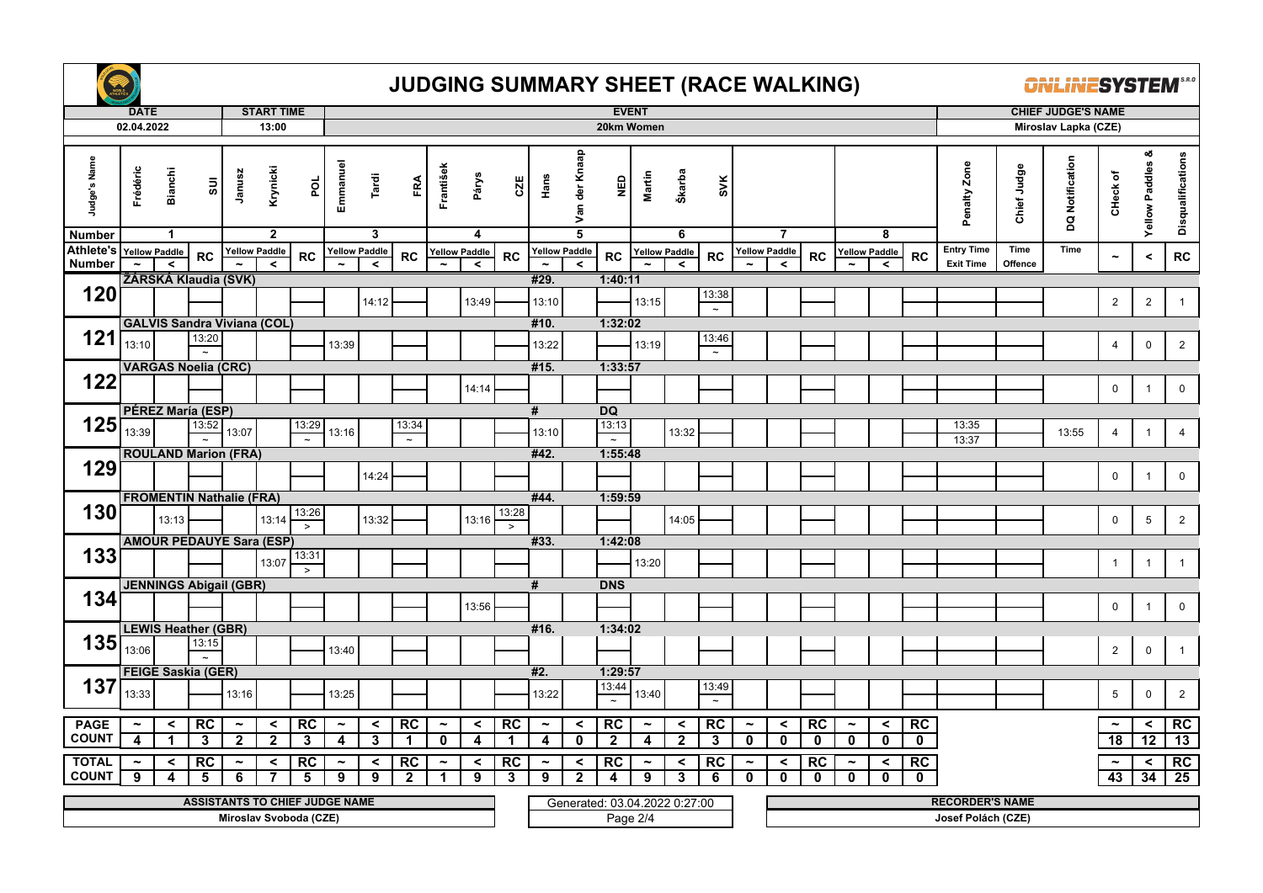

**ONLINESYSTEM** 

|                               | <b>DATE</b>                  |                                         |                                             |                         | <b>START TIME</b>          |                        |                                       |                       |                         |                       |                                  |             |                       |                                 | <b>EVENT</b>                  |                         |                          |                          |                         |                      |              |                       |                      |                         |                        |             | <b>CHIEF JUDGE'S NAME</b> |                             |                            |                   |
|-------------------------------|------------------------------|-----------------------------------------|---------------------------------------------|-------------------------|----------------------------|------------------------|---------------------------------------|-----------------------|-------------------------|-----------------------|----------------------------------|-------------|-----------------------|---------------------------------|-------------------------------|-------------------------|--------------------------|--------------------------|-------------------------|----------------------|--------------|-----------------------|----------------------|-------------------------|------------------------|-------------|---------------------------|-----------------------------|----------------------------|-------------------|
|                               | 02.04.2022                   |                                         |                                             |                         | 13:00                      |                        |                                       |                       |                         |                       |                                  |             |                       |                                 | 20km Women                    |                         |                          |                          |                         |                      |              |                       |                      |                         |                        |             | Miroslav Lapka (CZE)      |                             |                            |                   |
| Judge's Name<br><b>Number</b> | Frédéric                     | <b>Bianchi</b><br>$\blacktriangleleft$  | $\Xi$                                       | Janusz                  | Krynicki<br>$\overline{2}$ | por                    | Emmanuel                              | Tardi<br>$\mathbf{3}$ | FRA                     | František             | Párys<br>$\overline{\mathbf{4}}$ | CZE         | Hans                  | Van der Knaap<br>$\overline{5}$ | NED                           | Martin                  | Škarba<br>6              | <b>SVK</b>               |                         | $\overline{7}$       |              |                       | 8                    |                         | Penalty Zone           | Chief Judge | DQ Notification           | CHeck of                    | య<br><b>Yellow Paddles</b> | Disqualifications |
| Athlete's                     | <b>Yellow Paddle</b>         |                                         |                                             |                         | <b>Yellow Paddle</b>       |                        |                                       | <b>Yellow Paddle</b>  |                         |                       | <b>Yellow Paddle</b>             |             | <b>Yellow Paddle</b>  |                                 |                               |                         | <b>Yellow Paddle</b>     |                          |                         | <b>Yellow Paddle</b> |              |                       | <b>Yellow Paddle</b> |                         | <b>Entry Time</b>      | Time        | Time                      |                             |                            |                   |
| <b>Number</b>                 |                              | $\prec$                                 | <b>RC</b>                                   |                         | $\prec$                    | <b>RC</b>              |                                       | $\prec$               | RC                      |                       | $\prec$                          | RC          |                       | $\prec$                         | <b>RC</b>                     |                         | $\overline{\phantom{a}}$ | RC                       |                         | $\prec$              | <b>RC</b>    |                       | $\prec$              | <b>RC</b>               | <b>Exit Time</b>       | Offence     |                           | $\tilde{}$                  | $\,<$                      | ${\sf RC}$        |
|                               |                              |                                         | <b>ŽÁRSKÁ Klaudia (SVK)</b>                 |                         |                            |                        |                                       |                       |                         |                       |                                  |             | #29.                  |                                 | 1:40:11                       |                         |                          |                          |                         |                      |              |                       |                      |                         |                        |             |                           |                             |                            |                   |
| 120                           |                              |                                         |                                             |                         |                            |                        |                                       | 14:12                 |                         |                       | 13:49                            |             | 13:10                 |                                 |                               | 13:15                   |                          | 13:38                    |                         |                      |              |                       |                      |                         |                        |             |                           | $\overline{2}$              | $\overline{2}$             | $\mathbf{1}$      |
|                               |                              |                                         |                                             |                         |                            |                        |                                       |                       |                         |                       |                                  |             |                       |                                 |                               |                         |                          | $\tilde{\phantom{a}}$    |                         |                      |              |                       |                      |                         |                        |             |                           |                             |                            |                   |
| 121                           |                              |                                         | <b>GALVIS Sandra Viviana (COL)</b><br>13:20 |                         |                            |                        |                                       |                       |                         |                       |                                  |             | #10.                  |                                 | 1:32:02                       |                         |                          | 13:46                    |                         |                      |              |                       |                      |                         |                        |             |                           |                             |                            |                   |
|                               | 13:10                        |                                         |                                             |                         |                            |                        | 13:39                                 |                       |                         |                       |                                  |             | 13:22                 |                                 |                               | 13:19                   |                          | $\sim$                   |                         |                      |              |                       |                      |                         |                        |             |                           | $\overline{4}$              | $\mathbf 0$                | $\overline{2}$    |
|                               |                              |                                         | <b>VARGAS Noelia (CRC)</b>                  |                         |                            |                        |                                       |                       |                         |                       |                                  |             | #15.                  |                                 | 1:33:57                       |                         |                          |                          |                         |                      |              |                       |                      |                         |                        |             |                           |                             |                            |                   |
| 122                           |                              |                                         |                                             |                         |                            |                        |                                       |                       |                         |                       | 14:14                            |             |                       |                                 |                               |                         |                          |                          |                         |                      |              |                       |                      |                         |                        |             |                           | 0                           | $\overline{1}$             | $\mathbf 0$       |
|                               |                              |                                         |                                             |                         |                            |                        |                                       |                       |                         |                       |                                  |             |                       |                                 |                               |                         |                          |                          |                         |                      |              |                       |                      |                         |                        |             |                           |                             |                            |                   |
|                               |                              |                                         | <b>PÉREZ María (ESP)</b>                    |                         |                            |                        |                                       |                       |                         |                       |                                  |             | #                     |                                 | DQ                            |                         |                          |                          |                         |                      |              |                       |                      |                         |                        |             |                           |                             |                            |                   |
| 125                           | 13:39                        |                                         | 13:52                                       | 13:07                   |                            | 13:29                  | 13:16                                 |                       | 13:34<br>$\overline{z}$ |                       |                                  |             | 13:10                 |                                 | 13:13<br>$\overline{z}$       |                         | 13:32                    |                          |                         |                      |              |                       |                      |                         | 13:35<br>13:37         |             | 13:55                     | 4                           | $\overline{1}$             | $\overline{4}$    |
|                               |                              |                                         | <b>ROULAND Marion (FRA)</b>                 |                         |                            |                        |                                       |                       |                         |                       |                                  |             | #42.                  |                                 | 1:55:48                       |                         |                          |                          |                         |                      |              |                       |                      |                         |                        |             |                           |                             |                            |                   |
| 129                           |                              |                                         |                                             |                         |                            |                        |                                       |                       |                         |                       |                                  |             |                       |                                 |                               |                         |                          |                          |                         |                      |              |                       |                      |                         |                        |             |                           |                             |                            |                   |
|                               |                              |                                         |                                             |                         |                            |                        |                                       | 14:24                 |                         |                       |                                  |             |                       |                                 |                               |                         |                          |                          |                         |                      |              |                       |                      |                         |                        |             |                           | $\mathsf{O}$                | $\overline{1}$             | $\mathbf 0$       |
|                               |                              |                                         | <b>FROMENTIN Nathalie (FRA)</b>             |                         |                            |                        |                                       |                       |                         |                       |                                  |             | #44.                  |                                 | 1:59:59                       |                         |                          |                          |                         |                      |              |                       |                      |                         |                        |             |                           |                             |                            |                   |
| 130                           |                              | 13:13                                   |                                             |                         | 13:14                      | 13:26                  |                                       | 13:32                 |                         |                       | 13:16                            | 13:28       |                       |                                 |                               |                         | 14:05                    |                          |                         |                      |              |                       |                      |                         |                        |             |                           | $\mathbf 0$                 | $5\phantom{.0}$            | $\overline{2}$    |
|                               |                              |                                         |                                             |                         |                            | $\geq$                 |                                       |                       |                         |                       |                                  | $\,>\,$     |                       |                                 |                               |                         |                          |                          |                         |                      |              |                       |                      |                         |                        |             |                           |                             |                            |                   |
| 133                           |                              |                                         | <b>AMOUR PEDAUYE Sara (ESP)</b>             |                         |                            | 13:31                  |                                       |                       |                         |                       |                                  |             | #33.                  |                                 | 1:42:08                       |                         |                          |                          |                         |                      |              |                       |                      |                         |                        |             |                           |                             |                            |                   |
|                               |                              |                                         |                                             |                         | 13:07                      | $\geq$                 |                                       |                       |                         |                       |                                  |             |                       |                                 |                               | 13:20                   |                          |                          |                         |                      |              |                       |                      |                         |                        |             |                           | $\mathbf{1}$                | $\overline{1}$             | $\mathbf{1}$      |
|                               |                              |                                         | <b>JENNINGS Abigail (GBR)</b>               |                         |                            |                        |                                       |                       |                         |                       |                                  |             | #                     |                                 | <b>DNS</b>                    |                         |                          |                          |                         |                      |              |                       |                      |                         |                        |             |                           |                             |                            |                   |
| 134                           |                              |                                         |                                             |                         |                            |                        |                                       |                       |                         |                       | 13:56                            |             |                       |                                 |                               |                         |                          |                          |                         |                      |              |                       |                      |                         |                        |             |                           | $\mathbf 0$                 | $\overline{1}$             | $\mathbf 0$       |
|                               |                              |                                         |                                             |                         |                            |                        |                                       |                       |                         |                       |                                  |             |                       |                                 |                               |                         |                          |                          |                         |                      |              |                       |                      |                         |                        |             |                           |                             |                            |                   |
|                               |                              |                                         | <b>LEWIS Heather (GBR)</b>                  |                         |                            |                        |                                       |                       |                         |                       |                                  |             | #16.                  |                                 | 1:34:02                       |                         |                          |                          |                         |                      |              |                       |                      |                         |                        |             |                           |                             |                            |                   |
| 1351                          | 13:06                        |                                         | 13:15                                       |                         |                            |                        | 13:40                                 |                       |                         |                       |                                  |             |                       |                                 |                               |                         |                          |                          |                         |                      |              |                       |                      |                         |                        |             |                           | $\overline{2}$              | $\mathbf 0$                | $\mathbf{1}$      |
|                               |                              |                                         | <b>FEIGE Saskia (GER)</b>                   |                         |                            |                        |                                       |                       |                         |                       |                                  |             | #2.                   |                                 | 1:29:57                       |                         |                          |                          |                         |                      |              |                       |                      |                         |                        |             |                           |                             |                            |                   |
| 137                           |                              |                                         |                                             |                         |                            |                        |                                       |                       |                         |                       |                                  |             |                       |                                 | 13:44                         |                         |                          | 13:49                    |                         |                      |              |                       |                      |                         |                        |             |                           |                             |                            |                   |
|                               | 13:33                        |                                         |                                             | 13:16                   |                            |                        | 13:25                                 |                       |                         |                       |                                  |             | 13:22                 |                                 | $\overline{\phantom{a}}$      | 13:40                   |                          | $\overline{\phantom{a}}$ |                         |                      |              |                       |                      |                         |                        |             |                           | $5\phantom{.0}$             | $\mathbf 0$                | $\overline{2}$    |
| <b>PAGE</b>                   | $\tilde{\phantom{a}}$        | $\checkmark$                            | <b>RC</b>                                   | $\tilde{\phantom{a}}$   | $\prec$                    | RC                     | $\tilde{\phantom{a}}$                 | $\prec$               | <b>RC</b>               | $\tilde{\phantom{a}}$ | $\prec$                          | RC          | $\tilde{\phantom{a}}$ | $\prec$                         | <b>RC</b>                     | $\tilde{\phantom{a}}$   | $\,<$                    | RC                       | $\tilde{\phantom{a}}$   | $\,<$                | RC           | $\tilde{\phantom{a}}$ | $\prec$              | RC                      |                        |             |                           | $\tilde{\phantom{a}}$       | $\prec$                    | RC                |
| <b>COUNT</b>                  | $\overline{\mathbf{4}}$      | $\mathbf{1}$                            | 3                                           | $\overline{\mathbf{2}}$ | $\overline{\mathbf{2}}$    | 3                      | $\overline{\mathbf{4}}$               | 3                     | -1                      | $\mathbf{0}$          | $\overline{\mathbf{4}}$          | $\mathbf 1$ | 4                     | $\mathbf{0}$                    | $\overline{\mathbf{2}}$       | $\overline{\mathbf{4}}$ | $\overline{\mathbf{2}}$  | 3                        | $\mathbf{0}$            | $\mathbf{0}$         | $\mathbf{0}$ | $\mathbf{0}$          | $\mathbf{0}$         | $\overline{\mathbf{0}}$ |                        |             |                           | $\overline{18}$             | 12                         | 13                |
|                               |                              |                                         |                                             |                         |                            |                        |                                       |                       |                         |                       |                                  |             |                       |                                 |                               |                         |                          |                          |                         |                      |              |                       |                      |                         |                        |             |                           |                             |                            |                   |
| <b>TOTAL</b><br><b>COUNT</b>  | $\tilde{}$<br>$\overline{9}$ | $\checkmark$<br>$\overline{\mathbf{4}}$ | <b>RC</b>                                   | $\tilde{\phantom{a}}$   | $\prec$                    | RC                     | $\tilde{\phantom{a}}$                 | $\checkmark$          | RC                      | $\tilde{\phantom{a}}$ | $\prec$                          | RC          | $\tilde{}$            | $\prec$<br>$\mathbf{2}$         | RC<br>4                       | $\tilde{\phantom{a}}$   | $\checkmark$<br>3        | RC                       | $\tilde{\phantom{a}}$   | $\hat{}$             | <b>RC</b>    | $\tilde{\phantom{a}}$ | $\prec$              | RC                      |                        |             |                           | $\tilde{\phantom{a}}$<br>43 | $\prec$<br>34              | RC<br>25          |
|                               |                              |                                         | 5                                           | 6                       |                            | 5                      | 9                                     | 9                     | $\mathbf{2}$            | 1                     | $\overline{9}$                   | 3           | 9                     |                                 |                               | 9                       |                          | 6                        | $\overline{\mathbf{0}}$ | $\mathbf 0$          | $\mathbf 0$  | $\mathbf 0$           | $\mathbf 0$          | $\overline{\mathbf{0}}$ |                        |             |                           |                             |                            |                   |
|                               |                              |                                         |                                             |                         |                            |                        | <b>ASSISTANTS TO CHIEF JUDGE NAME</b> |                       |                         |                       |                                  |             |                       |                                 | Generated: 03.04.2022 0:27:00 |                         |                          |                          |                         |                      |              |                       |                      |                         | <b>RECORDER'S NAME</b> |             |                           |                             |                            |                   |
|                               |                              |                                         |                                             |                         |                            | Miroslav Svoboda (CZE) |                                       |                       |                         |                       |                                  |             |                       |                                 | Page 2/4                      |                         |                          |                          |                         |                      |              |                       |                      |                         | Josef Polách (CZE)     |             |                           |                             |                            |                   |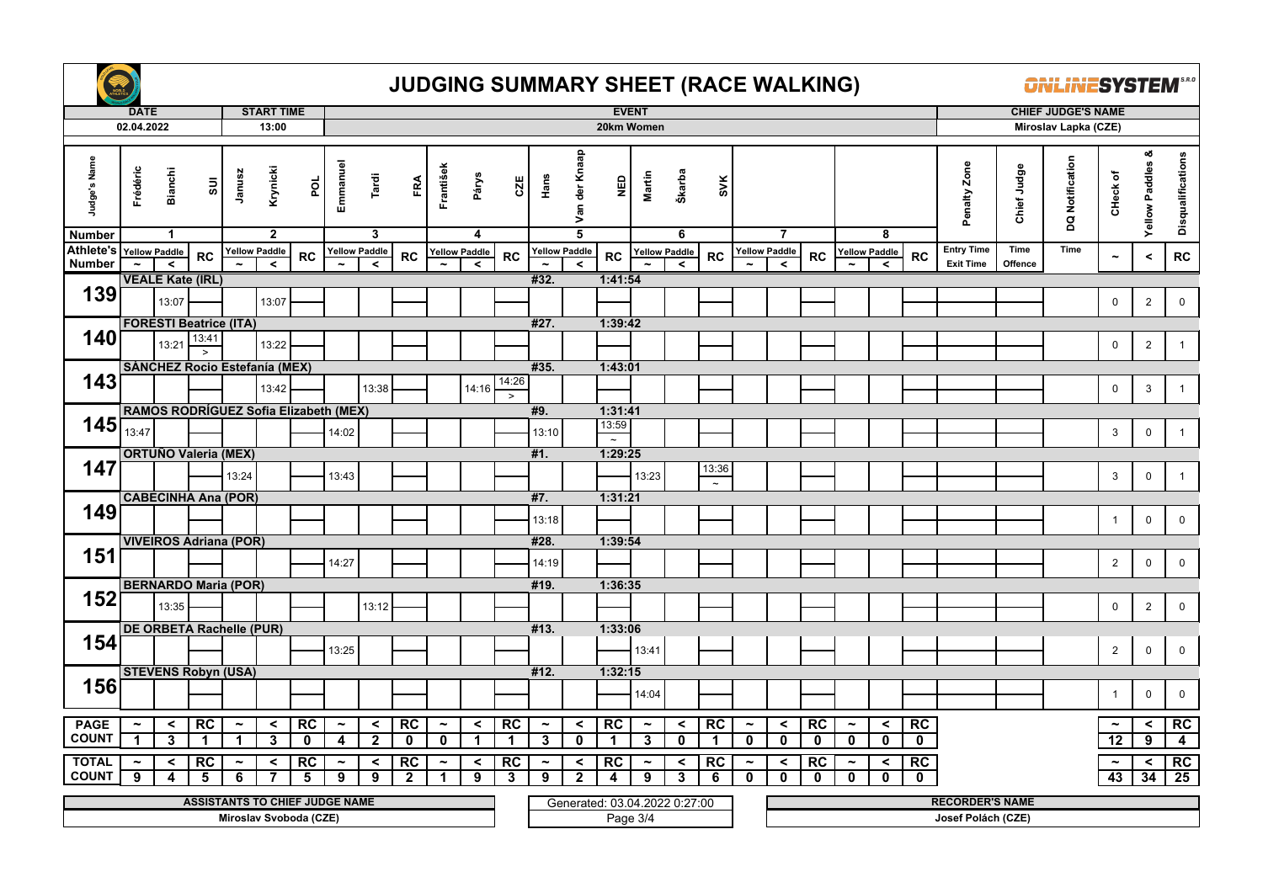

**ONLINESYSTEM** 

|                               | <b>DATE</b>           |                                              |                                       |                       | <b>START TIME</b>        |                        |                       |                      |                         |                       |                      |                  |                       |                                 | <b>EVENT</b>                              |                       |                      |        |                       |                      |              |                       |                      |                         |                                              |             | <b>CHIEF JUDGE'S NAME</b> |                       |                            |                   |
|-------------------------------|-----------------------|----------------------------------------------|---------------------------------------|-----------------------|--------------------------|------------------------|-----------------------|----------------------|-------------------------|-----------------------|----------------------|------------------|-----------------------|---------------------------------|-------------------------------------------|-----------------------|----------------------|--------|-----------------------|----------------------|--------------|-----------------------|----------------------|-------------------------|----------------------------------------------|-------------|---------------------------|-----------------------|----------------------------|-------------------|
|                               | 02.04.2022            |                                              |                                       |                       | 13:00                    |                        |                       |                      |                         |                       |                      |                  |                       |                                 | 20km Women                                |                       |                      |        |                       |                      |              |                       |                      |                         |                                              |             | Miroslav Lapka (CZE)      |                       |                            |                   |
| Judge's Name<br><b>Number</b> | Frédéric              | <b>Bianchi</b><br>$\mathbf{1}$               | $\Xi$                                 | Janusz                | Krynicki<br>$\mathbf{2}$ | por                    | Emmanuel              | Tardi<br>3           | FRA                     | František             | Párys<br>4           | CZE              | Hans                  | Van der Knaap<br>$\overline{5}$ | <b>Q3M</b>                                | Martin                | Škarba<br>6          | SVK    |                       | $\overline{7}$       |              |                       | 8                    |                         | Penalty Zone                                 | Chief Judge | DQ Notification           | CHeck of              | ೲ<br><b>Yellow Paddles</b> | Disqualifications |
| Athlete's                     |                       | <b>Yellow Paddle</b>                         | <b>RC</b>                             |                       | <b>Yellow Paddle</b>     |                        |                       | <b>Yellow Paddle</b> |                         |                       | <b>Yellow Paddle</b> |                  | <b>Yellow Paddle</b>  |                                 |                                           |                       | <b>Yellow Paddle</b> |        |                       | <b>Yellow Paddle</b> |              |                       | <b>Yellow Paddle</b> |                         | <b>Entry Time</b>                            | Time        | Time                      |                       |                            |                   |
| <b>Number</b>                 |                       | $\overline{\phantom{a}}$                     |                                       |                       | $\prec$                  | <b>RC</b>              |                       | $\prec$              | RC                      |                       | $\prec$              | RC               |                       | $\prec$                         | RC                                        |                       | $\prec$              | RC     |                       | $\prec$              | <b>RC</b>    |                       | $\prec$              | <b>RC</b>               | <b>Exit Time</b>                             | Offence     |                           | $\tilde{}$            | $\,<$                      | ${\sf RC}$        |
|                               |                       | <b>VEALE Kate (IRL)</b>                      |                                       |                       |                          |                        |                       |                      |                         |                       |                      |                  | #32.                  |                                 | 1:41:54                                   |                       |                      |        |                       |                      |              |                       |                      |                         |                                              |             |                           |                       |                            |                   |
| 139                           |                       | 13:07                                        |                                       |                       | 13:07                    |                        |                       |                      |                         |                       |                      |                  |                       |                                 |                                           |                       |                      |        |                       |                      |              |                       |                      |                         |                                              |             |                           | $\mathbf 0$           | $\overline{2}$             | $\mathbf 0$       |
|                               |                       | <b>FORESTI Beatrice (ITA)</b>                |                                       |                       |                          |                        |                       |                      |                         |                       |                      |                  | #27.                  |                                 | 1:39:42                                   |                       |                      |        |                       |                      |              |                       |                      |                         |                                              |             |                           |                       |                            |                   |
| 140                           |                       |                                              | 13:41                                 |                       |                          |                        |                       |                      |                         |                       |                      |                  |                       |                                 |                                           |                       |                      |        |                       |                      |              |                       |                      |                         |                                              |             |                           |                       |                            |                   |
|                               |                       | 13:21                                        | $\,>$                                 |                       | 13:22                    |                        |                       |                      |                         |                       |                      |                  |                       |                                 |                                           |                       |                      |        |                       |                      |              |                       |                      |                         |                                              |             |                           | $\mathsf{O}$          | $\overline{2}$             | $\mathbf{1}$      |
|                               |                       | SÁNCHEZ Rocio Estefanía (MEX)                |                                       |                       |                          |                        |                       |                      |                         |                       |                      |                  | #35.                  |                                 | 1:43:01                                   |                       |                      |        |                       |                      |              |                       |                      |                         |                                              |             |                           |                       |                            |                   |
| 143                           |                       |                                              |                                       |                       | 13:42                    |                        |                       | 13:38                |                         |                       | 14:16                | 14:26<br>$\,>\,$ |                       |                                 |                                           |                       |                      |        |                       |                      |              |                       |                      |                         |                                              |             |                           | $\mathbf 0$           | $\mathbf{3}$               |                   |
|                               |                       | <b>RAMOS RODRÍGUEZ Sofia Elizabeth (MEX)</b> |                                       |                       |                          |                        |                       |                      |                         |                       |                      |                  | #9.                   |                                 | 1:31:41                                   |                       |                      |        |                       |                      |              |                       |                      |                         |                                              |             |                           |                       |                            |                   |
| $145$ <sub>13:47</sub>        |                       |                                              |                                       |                       |                          |                        | 14:02                 |                      |                         |                       |                      |                  | 13:10                 |                                 | 13:59                                     |                       |                      |        |                       |                      |              |                       |                      |                         |                                              |             |                           | 3                     | $\pmb{0}$                  | $\mathbf{1}$      |
|                               |                       |                                              |                                       |                       |                          |                        |                       |                      |                         |                       |                      |                  |                       |                                 | $\cdot$                                   |                       |                      |        |                       |                      |              |                       |                      |                         |                                              |             |                           |                       |                            |                   |
| 147                           |                       | <b>ORTUÑO Valeria (MEX)</b>                  |                                       |                       |                          |                        |                       |                      |                         |                       |                      |                  | #1.                   |                                 | 1:29:25                                   |                       |                      | 13:36  |                       |                      |              |                       |                      |                         |                                              |             |                           |                       |                            |                   |
|                               |                       |                                              |                                       | 13:24                 |                          |                        | 13:43                 |                      |                         |                       |                      |                  |                       |                                 |                                           | 13:23                 |                      | $\sim$ |                       |                      |              |                       |                      |                         |                                              |             |                           | 3                     | $\mathsf 0$                | $\mathbf{1}$      |
|                               |                       | <b>CABECINHA Ana (POR)</b>                   |                                       |                       |                          |                        |                       |                      |                         |                       |                      |                  | #7.                   |                                 | 1:31:21                                   |                       |                      |        |                       |                      |              |                       |                      |                         |                                              |             |                           |                       |                            |                   |
| 149                           |                       |                                              |                                       |                       |                          |                        |                       |                      |                         |                       |                      |                  | 13:18                 |                                 |                                           |                       |                      |        |                       |                      |              |                       |                      |                         |                                              |             |                           | $\mathbf{1}$          | $\mathbf 0$                | $\mathbf 0$       |
|                               |                       | <b>VIVEIROS Adriana (POR)</b>                |                                       |                       |                          |                        |                       |                      |                         |                       |                      |                  | #28.                  |                                 | 1:39:54                                   |                       |                      |        |                       |                      |              |                       |                      |                         |                                              |             |                           |                       |                            |                   |
| 151                           |                       |                                              |                                       |                       |                          |                        |                       |                      |                         |                       |                      |                  |                       |                                 |                                           |                       |                      |        |                       |                      |              |                       |                      |                         |                                              |             |                           |                       |                            |                   |
|                               |                       |                                              |                                       |                       |                          |                        | 14:27                 |                      |                         |                       |                      |                  | 14:19                 |                                 |                                           |                       |                      |        |                       |                      |              |                       |                      |                         |                                              |             |                           | $\overline{2}$        | $\mathsf 0$                | $\mathbf 0$       |
|                               |                       | <b>BERNARDO Maria (POR)</b>                  |                                       |                       |                          |                        |                       |                      |                         |                       |                      |                  | #19.                  |                                 | 1:36:35                                   |                       |                      |        |                       |                      |              |                       |                      |                         |                                              |             |                           |                       |                            |                   |
| 152                           |                       | 13:35                                        |                                       |                       |                          |                        |                       | 13:12                |                         |                       |                      |                  |                       |                                 |                                           |                       |                      |        |                       |                      |              |                       |                      |                         |                                              |             |                           | $\mathbf 0$           | $\overline{2}$             | $\mathbf 0$       |
|                               |                       | DE ORBETA Rachelle (PUR)                     |                                       |                       |                          |                        |                       |                      |                         |                       |                      |                  | #13.                  |                                 | 1:33:06                                   |                       |                      |        |                       |                      |              |                       |                      |                         |                                              |             |                           |                       |                            |                   |
| 154                           |                       |                                              |                                       |                       |                          |                        | 13:25                 |                      |                         |                       |                      |                  |                       |                                 |                                           | 13:41                 |                      |        |                       |                      |              |                       |                      |                         |                                              |             |                           | $\overline{2}$        | $\mathsf 0$                | $\mathbf 0$       |
|                               |                       |                                              |                                       |                       |                          |                        |                       |                      |                         |                       |                      |                  |                       |                                 |                                           |                       |                      |        |                       |                      |              |                       |                      |                         |                                              |             |                           |                       |                            |                   |
| 156                           |                       | <b>STEVENS Robyn (USA)</b>                   |                                       |                       |                          |                        |                       |                      |                         |                       |                      |                  | #12.                  |                                 | 1:32:15                                   |                       |                      |        |                       |                      |              |                       |                      |                         |                                              |             |                           |                       |                            |                   |
|                               |                       |                                              |                                       |                       |                          |                        |                       |                      |                         |                       |                      |                  |                       |                                 |                                           | 14:04                 |                      |        |                       |                      |              |                       |                      |                         |                                              |             |                           | $\mathbf{1}$          | $\mathbf 0$                | $\mathsf 0$       |
| <b>PAGE</b>                   | $\tilde{\phantom{a}}$ | $\prec$                                      | RC                                    | $\tilde{\phantom{a}}$ | $\prec$                  | RC                     | $\thicksim$           | $\prec$              | RC                      | $\tilde{\phantom{a}}$ | $\prec$              | RC               | $\tilde{\phantom{a}}$ | $\prec$                         | RC                                        | $\tilde{\phantom{a}}$ | $\prec$              | RC     | $\tilde{\phantom{a}}$ | $\prec$              | RC           | $\tilde{\phantom{a}}$ | $\prec$              | RC                      |                                              |             |                           | $\tilde{\phantom{a}}$ | $\prec$                    | RC                |
| <b>COUNT</b>                  | $\mathbf{1}$          | 3                                            | $\mathbf 1$                           | $\mathbf 1$           | 3                        | $\mathbf 0$            | 4                     | $\overline{2}$       | $\mathbf 0$             | $\mathbf 0$           | $\mathbf 1$          | $\mathbf 1$      | 3                     | $\mathbf 0$                     | $\mathbf{1}$                              | 3                     | $\mathbf{0}$         | 1      | $\mathbf{0}$          | $\mathbf 0$          | $\mathbf 0$  | $\mathbf 0$           | $\mathbf 0$          | $\mathbf 0$             |                                              |             |                           | 12                    | 9                          | 4                 |
| <b>TOTAL</b>                  | $\tilde{\phantom{a}}$ | $\prec$                                      | RC                                    | $\tilde{\phantom{a}}$ | $\prec$                  | RC                     | $\tilde{\phantom{a}}$ | $\prec$              | RC                      | $\tilde{\phantom{a}}$ | $\prec$              | RC               | $\tilde{\phantom{a}}$ | $\prec$                         | RC                                        | $\tilde{\phantom{a}}$ | $\prec$              | RC     | $\tilde{\phantom{a}}$ | $\prec$              | RC           | $\tilde{\phantom{a}}$ | $\prec$              | RC                      |                                              |             |                           | $\tilde{\phantom{a}}$ | $\prec$                    | RC                |
| <b>COUNT</b>                  | 9                     | 4                                            | $\overline{\mathbf{5}}$               | 6                     | 7                        | 5                      | 9                     | $\overline{9}$       | $\overline{\mathbf{2}}$ | $\mathbf 1$           | $\overline{9}$       | 3                | 9                     | $\overline{2}$                  | 4                                         | 9                     | 3                    | 6      | $\mathbf 0$           | $\mathbf 0$          | $\mathbf{0}$ | $\mathbf 0$           | $\mathbf{0}$         | $\overline{\mathbf{0}}$ |                                              |             |                           | 43                    | 34                         | 25                |
|                               |                       |                                              |                                       |                       |                          |                        |                       |                      |                         |                       |                      |                  |                       |                                 |                                           |                       |                      |        |                       |                      |              |                       |                      |                         |                                              |             |                           |                       |                            |                   |
|                               |                       |                                              | <b>ASSISTANTS TO CHIEF JUDGE NAME</b> |                       |                          | Miroslav Svoboda (CZE) |                       |                      |                         |                       |                      |                  |                       |                                 | Generated: 03.04.2022 0.27.00<br>Page 3/4 |                       |                      |        |                       |                      |              |                       |                      |                         | <b>RECORDER'S NAME</b><br>Josef Polách (CZE) |             |                           |                       |                            |                   |
|                               |                       |                                              |                                       |                       |                          |                        |                       |                      |                         |                       |                      |                  |                       |                                 |                                           |                       |                      |        |                       |                      |              |                       |                      |                         |                                              |             |                           |                       |                            |                   |